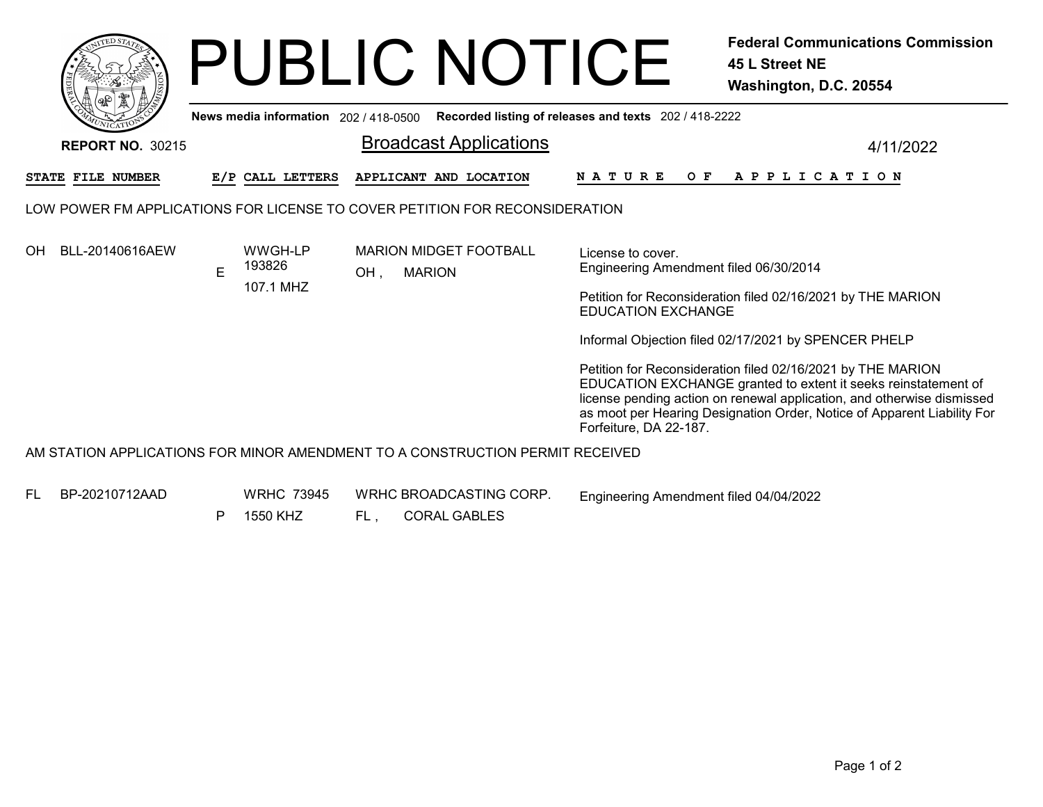|                          |   |                                       | <b>PUBLIC NOTICE</b>                                                          |                                                             | <b>Federal Communications Commission</b><br>45 L Street NE<br>Washington, D.C. 20554                                                                                                                                                                                               |
|--------------------------|---|---------------------------------------|-------------------------------------------------------------------------------|-------------------------------------------------------------|------------------------------------------------------------------------------------------------------------------------------------------------------------------------------------------------------------------------------------------------------------------------------------|
| <b>REPORT NO. 30215</b>  |   | News media information 202 / 418-0500 | <b>Broadcast Applications</b>                                                 | Recorded listing of releases and texts 202 / 418-2222       | 4/11/2022                                                                                                                                                                                                                                                                          |
| <b>STATE FILE NUMBER</b> |   | E/P CALL LETTERS                      | APPLICANT AND LOCATION                                                        | N A T U R E<br>O F                                          | A P P L I C A T I O N                                                                                                                                                                                                                                                              |
|                          |   |                                       | LOW POWER FM APPLICATIONS FOR LICENSE TO COVER PETITION FOR RECONSIDERATION   |                                                             |                                                                                                                                                                                                                                                                                    |
| OH<br>BLL-20140616AEW    | E | WWGH-LP<br>193826<br>107.1 MHZ        | <b>MARION MIDGET FOOTBALL</b><br>OH.<br><b>MARION</b>                         | License to cover.<br>Engineering Amendment filed 06/30/2014 |                                                                                                                                                                                                                                                                                    |
|                          |   |                                       |                                                                               | <b>EDUCATION EXCHANGE</b>                                   | Petition for Reconsideration filed 02/16/2021 by THE MARION                                                                                                                                                                                                                        |
|                          |   |                                       |                                                                               |                                                             | Informal Objection filed 02/17/2021 by SPENCER PHELP                                                                                                                                                                                                                               |
|                          |   |                                       |                                                                               | Forfeiture, DA 22-187.                                      | Petition for Reconsideration filed 02/16/2021 by THE MARION<br>EDUCATION EXCHANGE granted to extent it seeks reinstatement of<br>license pending action on renewal application, and otherwise dismissed<br>as moot per Hearing Designation Order, Notice of Apparent Liability For |
|                          |   |                                       | AM STATION APPLICATIONS FOR MINOR AMENDMENT TO A CONSTRUCTION PERMIT RECEIVED |                                                             |                                                                                                                                                                                                                                                                                    |

- BP-20210712AAD
- WRHC 73945 WRHC BROADCASTING CORP.

Engineering Amendment filed 04/04/2022

FL , CORAL GABLES P 1550 KHZ